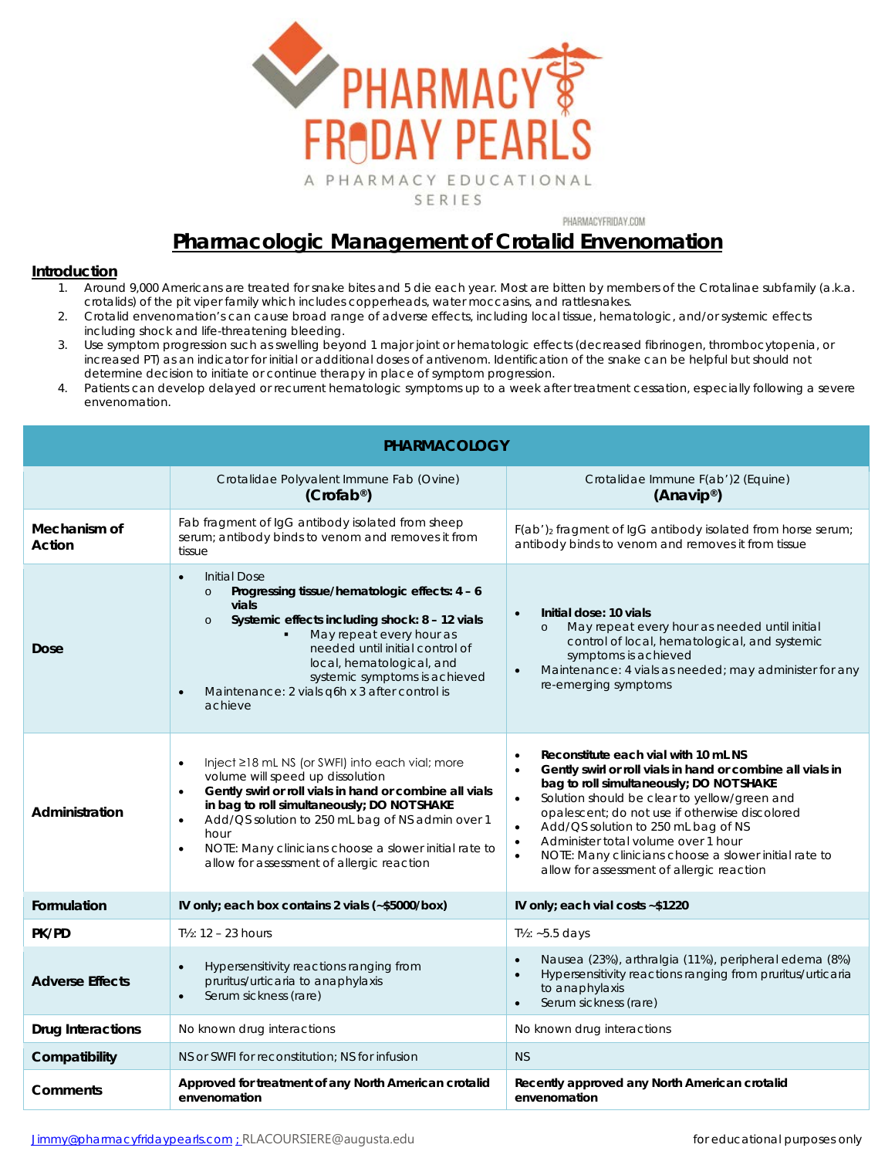

PHARMACYFRIDAY.COM

## **Pharmacologic Management of Crotalid Envenomation**

## **Introduction**

- 1. Around 9,000 Americans are treated for snake bites and 5 die each year. Most are bitten by members of the *Crotalinae* subfamily (a.k.a. crotalids) of the pit viper family which includes copperheads, water moccasins, and rattlesnakes.
- 2. Crotalid envenomation's can cause broad range of adverse effects, including local tissue, hematologic, and/or systemic effects including shock and life-threatening bleeding.
- 3. Use symptom progression such as swelling beyond 1 major joint or hematologic effects (decreased fibrinogen, thrombocytopenia, or increased PT) as an indicator for initial or additional doses of antivenom. Identification of the snake can be helpful but should not determine decision to initiate or continue therapy in place of symptom progression.
- 4. Patients can develop delayed or recurrent hematologic symptoms up to a week after treatment cessation, especially following a severe envenomation.

| <b>PHARMACOLOGY</b>      |                                                                                                                                                                                                                                                                                                                                                                                                                           |                                                                                                                                                                                                                                                                                                                                                                                                                                                                                                                    |  |  |
|--------------------------|---------------------------------------------------------------------------------------------------------------------------------------------------------------------------------------------------------------------------------------------------------------------------------------------------------------------------------------------------------------------------------------------------------------------------|--------------------------------------------------------------------------------------------------------------------------------------------------------------------------------------------------------------------------------------------------------------------------------------------------------------------------------------------------------------------------------------------------------------------------------------------------------------------------------------------------------------------|--|--|
|                          | Crotalidae Polyvalent Immune Fab (Ovine)<br>(Crofab <sup>®</sup> )                                                                                                                                                                                                                                                                                                                                                        | Crotalidae Immune F(ab')2 (Equine)<br>(Anavip <sup>®</sup> )                                                                                                                                                                                                                                                                                                                                                                                                                                                       |  |  |
| Mechanism of<br>Action   | Fab fragment of IgG antibody isolated from sheep<br>serum; antibody binds to venom and removes it from<br>tissue                                                                                                                                                                                                                                                                                                          | F(ab') <sub>2</sub> fragment of IgG antibody isolated from horse serum;<br>antibody binds to venom and removes it from tissue                                                                                                                                                                                                                                                                                                                                                                                      |  |  |
| Dose                     | <b>Initial Dose</b><br>$\bullet$<br>Progressing tissue/hematologic effects: 4 - 6<br>$\circ$<br>vials<br>Systemic effects including shock: 8 - 12 vials<br>$\circ$<br>May repeat every hour as<br>needed until initial control of<br>local, hematological, and<br>systemic symptoms is achieved<br>Maintenance: 2 vials q6h x 3 after control is<br>achieve                                                               | Initial dose: 10 yials<br>$\bullet$<br>May repeat every hour as needed until initial<br>$\circ$<br>control of local, hematological, and systemic<br>symptoms is achieved<br>Maintenance: 4 vials as needed; may administer for any<br>$\bullet$<br>re-emerging symptoms                                                                                                                                                                                                                                            |  |  |
| Administration           | Inject $\geq$ 18 mL NS (or SWFI) into each vial; more<br>$\bullet$<br>volume will speed up dissolution<br>Gently swirl or roll vials in hand or combine all vials<br>$\bullet$<br>in bag to roll simultaneously; DO NOT SHAKE<br>Add/QS solution to 250 mL bag of NS admin over 1<br>$\bullet$<br>hour<br>NOTE: Many clinicians choose a slower initial rate to<br>$\bullet$<br>allow for assessment of allergic reaction | Reconstitute each vial with 10 mL NS<br>$\bullet$<br>Gently swirl or roll vials in hand or combine all vials in<br>$\bullet$<br>bag to roll simultaneously; DO NOT SHAKE<br>Solution should be clear to yellow/green and<br>$\bullet$<br>opalescent; do not use if otherwise discolored<br>Add/QS solution to 250 mL bag of NS<br>$\bullet$<br>Administer total volume over 1 hour<br>$\bullet$<br>NOTE: Many clinicians choose a slower initial rate to<br>$\bullet$<br>allow for assessment of allergic reaction |  |  |
| Formulation              | IV only; each box contains 2 vials (~\$5000/box)                                                                                                                                                                                                                                                                                                                                                                          | IV only; each vial costs ~\$1220                                                                                                                                                                                                                                                                                                                                                                                                                                                                                   |  |  |
| PK/PD                    | $T\frac{1}{2}$ : 12 - 23 hours                                                                                                                                                                                                                                                                                                                                                                                            | T½: ~5.5 days                                                                                                                                                                                                                                                                                                                                                                                                                                                                                                      |  |  |
| <b>Adverse Effects</b>   | Hypersensitivity reactions ranging from<br>$\bullet$<br>pruritus/urticaria to anaphylaxis<br>Serum sickness (rare)<br>$\bullet$                                                                                                                                                                                                                                                                                           | Nausea (23%), arthralgia (11%), peripheral edema (8%)<br>$\bullet$<br>Hypersensitivity reactions ranging from pruritus/urticaria<br>$\bullet$<br>to anaphylaxis<br>Serum sickness (rare)<br>$\bullet$                                                                                                                                                                                                                                                                                                              |  |  |
| <b>Drug Interactions</b> | No known drug interactions                                                                                                                                                                                                                                                                                                                                                                                                | No known drug interactions                                                                                                                                                                                                                                                                                                                                                                                                                                                                                         |  |  |
| Compatibility            | NS or SWFI for reconstitution; NS for infusion                                                                                                                                                                                                                                                                                                                                                                            | <b>NS</b>                                                                                                                                                                                                                                                                                                                                                                                                                                                                                                          |  |  |
| Comments                 | Approved for treatment of any North American crotalid<br>envenomation                                                                                                                                                                                                                                                                                                                                                     | Recently approved any North American crotalid<br>envenomation                                                                                                                                                                                                                                                                                                                                                                                                                                                      |  |  |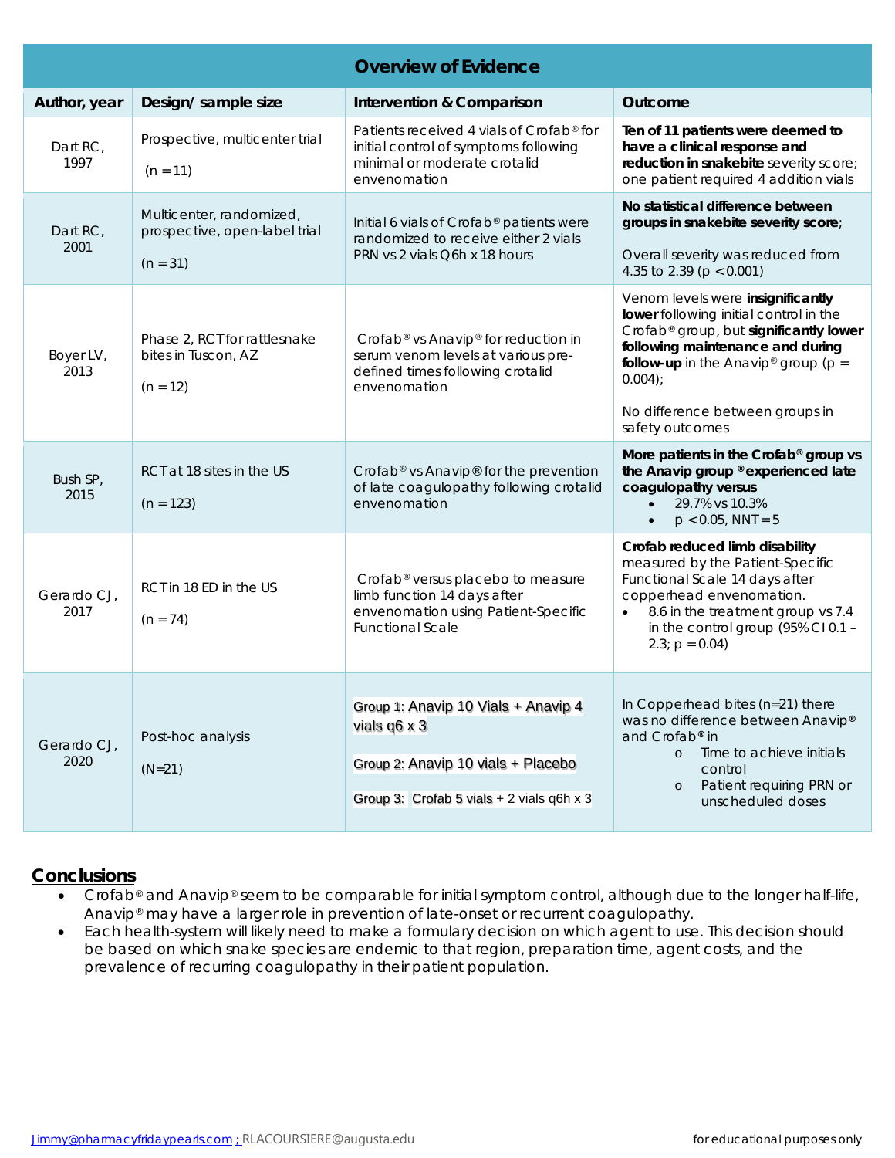| <b>Overview of Evidence</b> |                                                                         |                                                                                                                                                       |                                                                                                                                                                                                                                                                                     |  |  |
|-----------------------------|-------------------------------------------------------------------------|-------------------------------------------------------------------------------------------------------------------------------------------------------|-------------------------------------------------------------------------------------------------------------------------------------------------------------------------------------------------------------------------------------------------------------------------------------|--|--|
| Author, year                | Design/ sample size                                                     | Intervention & Comparison                                                                                                                             | Outcome                                                                                                                                                                                                                                                                             |  |  |
| Dart RC,<br>1997            | Prospective, multicenter trial<br>$(n = 11)$                            | Patients received 4 vials of Crofab® for<br>initial control of symptoms following<br>minimal or moderate crotalid<br>envenomation                     | Ten of 11 patients were deemed to<br>have a clinical response and<br>reduction in snakebite severity score;<br>one patient required 4 addition vials                                                                                                                                |  |  |
| Dart RC,<br>2001            | Multicenter, randomized,<br>prospective, open-label trial<br>$(n = 31)$ | Initial 6 vials of Crofab® patients were<br>randomized to receive either 2 vials<br>PRN vs 2 vials Q6h x 18 hours                                     | No statistical difference between<br>groups in snakebite severity score;<br>Overall severity was reduced from<br>4.35 to 2.39 ( $p < 0.001$ )                                                                                                                                       |  |  |
| Boyer LV,<br>2013           | Phase 2, RCT for rattlesnake<br>bites in Tuscon, AZ<br>$(n = 12)$       | Crofab <sup>®</sup> vs Anavip <sup>®</sup> for reduction in<br>serum venom levels at various pre-<br>defined times following crotalid<br>envenomation | Venom levels were insignificantly<br>lower following initial control in the<br>Crofab® group, but significantly lower<br>following maintenance and during<br>follow-up in the Anavip <sup>®</sup> group ( $p =$<br>$0.004$ );<br>No difference between groups in<br>safety outcomes |  |  |
| Bush SP,<br>2015            | RCT at 18 sites in the US<br>$(n = 123)$                                | Crofab® vs Anavip® for the prevention<br>of late coagulopathy following crotalid<br>envenomation                                                      | More patients in the Crofab® group vs<br>the Anavip group ® experienced late<br>coagulopathy versus<br>29.7% vs 10.3%<br>$\bullet$<br>$p < 0.05$ , NNT = 5                                                                                                                          |  |  |
| Gerardo CJ,<br>2017         | RCT in 18 ED in the US<br>$(n = 74)$                                    | Crofab <sup>®</sup> versus placebo to measure<br>limb function 14 days after<br>envenomation using Patient-Specific<br><b>Functional Scale</b>        | Crofab reduced limb disability<br>measured by the Patient-Specific<br>Functional Scale 14 days after<br>copperhead envenomation.<br>8.6 in the treatment group vs 7.4<br>$\bullet$<br>in the control group (95% CI 0.1 -<br>$2.3$ ; $p = 0.04$ )                                    |  |  |
| Gerardo CJ,<br>2020         | Post-hoc analysis<br>$(N=21)$                                           | Group 1: Anavip 10 Vials + Anavip 4<br>vials $q6 \times 3$<br>Group 2: Anavip 10 vials + Placebo<br>Group 3: Crofab 5 vials + 2 vials q6h x 3         | In Copperhead bites (n=21) there<br>was no difference between Anavip®<br>and Crofab® in<br>Time to achieve initials<br>$\circ$<br>control<br>Patient requiring PRN or<br>$\circ$<br>unscheduled doses                                                                               |  |  |

## **Conclusions**

- *Crofab*® and *Anavip*® seem to be comparable for initial symptom control, although due to the longer half-life, *Anavip*® may have a larger role in prevention of late-onset or recurrent coagulopathy.
- Each health-system will likely need to make a formulary decision on which agent to use. This decision should be based on which snake species are endemic to that region, preparation time, agent costs, and the prevalence of recurring coagulopathy in their patient population.